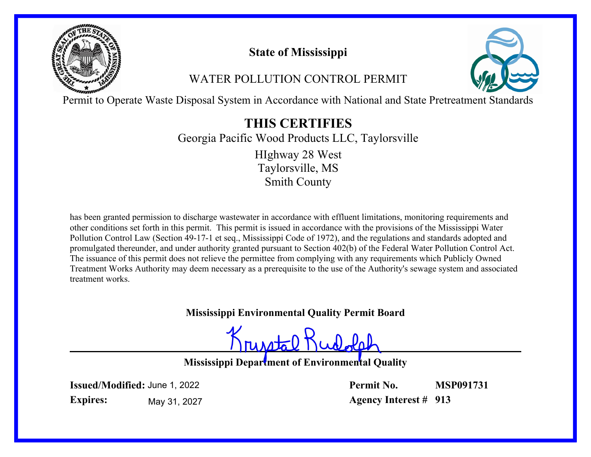

# **State of Mississippi**

# WATER POLLUTION CONTROL PERMIT



Permit to Operate Waste Disposal System in Accordance with National and State Pretreatment Standards

# **THIS CERTIFIES**

Georgia Pacific Wood Products LLC, Taylorsville Taylorsville, MS HIghway 28 West

Smith County

has been granted permission to discharge wastewater in accordance with effluent limitations, monitoring requirements and other conditions set forth in this permit. This permit is issued in accordance with the provisions of the Mississippi Water Pollution Control Law (Section 49-17-1 et seq., Mississippi Code of 1972), and the regulations and standards adopted and promulgated thereunder, and under authority granted pursuant to Section 402(b) of the Federal Water Pollution Control Act. The issuance of this permit does not relieve the permittee from complying with any requirements which Publicly Owned Treatment Works Authority may deem necessary as a prerequisite to the use of the Authority's sewage system and associated treatment works.

# **Mississippi Environmental Quality Permit Board**

runstal Kudola

**Mississippi Department of Environmental Quality**

**Issued/Modified:** June 1, 2022 **Expires:** May 31, 2027 **Permit No. Agency Interest # 913 MSP091731**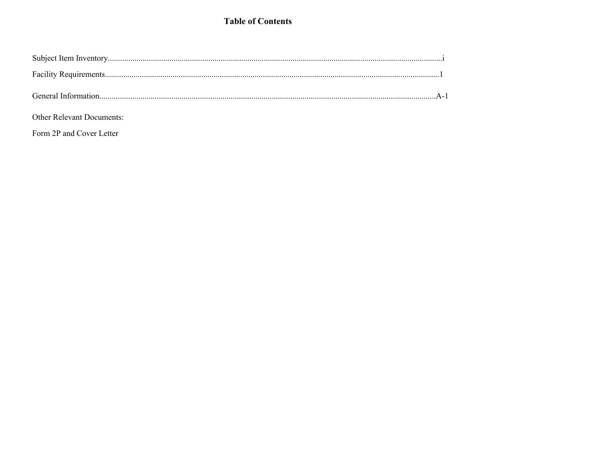## **Table of Contents**

| <b>Other Relevant Documents:</b> |  |
|----------------------------------|--|

Form 2P and Cover Letter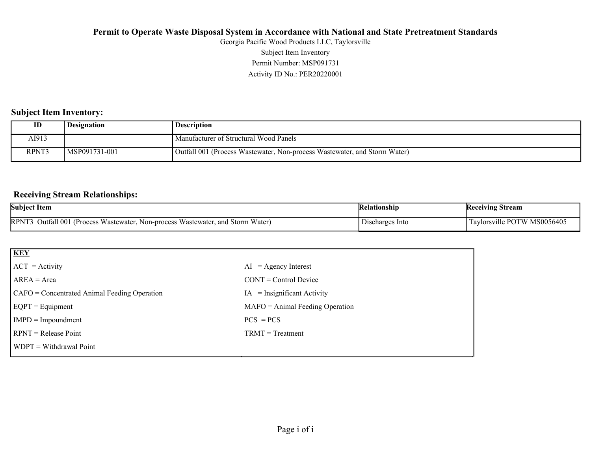Activity ID No.: PER20220001 Permit Number: MSP091731 Subject Item Inventory Georgia Pacific Wood Products LLC, Taylorsville

## **Subject Item Inventory:**

| ID    | <b>Designation</b> | <b>Description</b>                                                        |
|-------|--------------------|---------------------------------------------------------------------------|
| AI913 |                    | Manufacturer of Structural Wood Panels                                    |
| RPNT3 | MSP091731-001      | Outfall 001 (Process Wastewater, Non-process Wastewater, and Storm Water) |

## **Receiving Stream Relationships:**

| <b>Subject Item</b>                                                                                                                  | elationshin                | Stream<br> Keceiving                    |
|--------------------------------------------------------------------------------------------------------------------------------------|----------------------------|-----------------------------------------|
| <b>RPNT</b><br>Water<br>Outfall 001<br>$\mathbf{u}$<br>: Storm<br>Wastewater.<br>. and<br>Non-process<br><b>Process</b><br>astewater | <b>Discharges</b><br>-Into | MS0056405<br>™<br>1 avlorsy<br>ville Pt |

| <b>KEY</b>                                   |                                   |
|----------------------------------------------|-----------------------------------|
| $ ACT = Activity$                            | $AI = Agency Interest$            |
| $AREA = Area$                                | $CONT = Control$ Device           |
| CAFO = Concentrated Animal Feeding Operation | $=$ Insignificant Activity<br>IA  |
| $EQPT = Equipment$                           | $MAFO = Animal Feeding Operation$ |
| $IMPD = Important$                           | $PCS = PCs$                       |
| $RPNT = Release Point$                       | $TRMT = Treatment$                |
| $WDPT = Without$ Withdrawal Point            |                                   |
|                                              |                                   |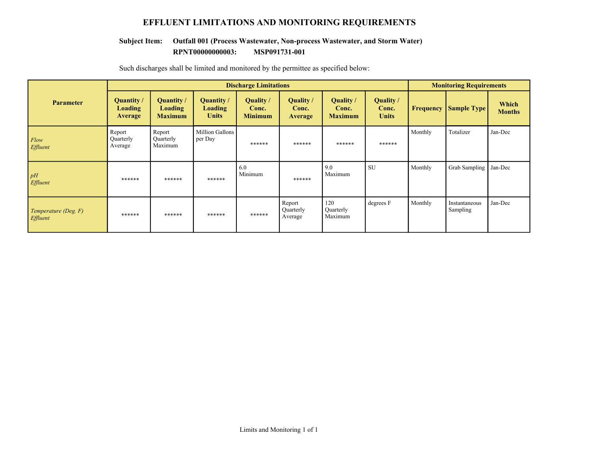## **EFFLUENT LIMITATIONS AND MONITORING REQUIREMENTS**

#### **RPNT00000000003: MSP091731-001 Subject Item: Outfall 001 (Process Wastewater, Non-process Wastewater, and Storm Water)**

|                                         | <b>Discharge Limitations</b>            |                                         |                                       |                                      |                                      |                                      | <b>Monitoring Requirements</b>            |                  |                           |                        |
|-----------------------------------------|-----------------------------------------|-----------------------------------------|---------------------------------------|--------------------------------------|--------------------------------------|--------------------------------------|-------------------------------------------|------------------|---------------------------|------------------------|
| <b>Parameter</b>                        | Quantity /<br>Loading<br><b>Average</b> | Quantity /<br>Loading<br><b>Maximum</b> | Quantity /<br>Loading<br><b>Units</b> | Quality /<br>Conc.<br><b>Minimum</b> | Quality /<br>Conc.<br><b>Average</b> | Quality /<br>Conc.<br><b>Maximum</b> | <b>Quality</b> /<br>Conc.<br><b>Units</b> | <b>Frequency</b> | <b>Sample Type</b>        | Which<br><b>Months</b> |
| Flow<br>Effluent                        | Report<br>Quarterly<br>Average          | Report<br>Quarterly<br>Maximum          | <b>Million Gallons</b><br>per Day     | ******                               | ******                               | ******                               | ******                                    | Monthly          | Totalizer                 | Jan-Dec                |
| pH<br>Effluent                          | ******                                  | ******                                  | ******                                | 6.0<br>Minimum                       | ******                               | 9.0<br>Maximum                       | SU                                        | Monthly          | Grab Sampling             | Jan-Dec                |
| Temperature (Deg. F)<br><b>Effluent</b> | ******                                  | ******                                  | ******                                | ******                               | Report<br>Quarterly<br>Average       | 120<br>Quarterly<br>Maximum          | degrees F                                 | Monthly          | Instantaneous<br>Sampling | Jan-Dec                |

Such discharges shall be limited and monitored by the permittee as specified below: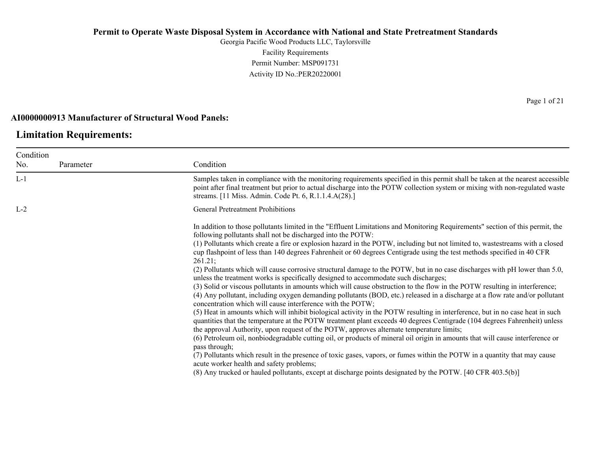Georgia Pacific Wood Products LLC, Taylorsville Facility Requirements Permit Number: MSP091731 Activity ID No.:PER20220001

### **AI0000000913 Manufacturer of Structural Wood Panels:**

# **Limitation Requirements:**

| Condition |           |                                                                                                                                                                                                                                                                                                                                                        |
|-----------|-----------|--------------------------------------------------------------------------------------------------------------------------------------------------------------------------------------------------------------------------------------------------------------------------------------------------------------------------------------------------------|
| No.       | Parameter | Condition                                                                                                                                                                                                                                                                                                                                              |
| $L-1$     |           | Samples taken in compliance with the monitoring requirements specified in this permit shall be taken at the nearest accessible<br>point after final treatment but prior to actual discharge into the POTW collection system or mixing with non-regulated waste<br>streams. [11 Miss. Admin. Code Pt. 6, R.1.1.4.A(28).]                                |
| $L-2$     |           | <b>General Pretreatment Prohibitions</b>                                                                                                                                                                                                                                                                                                               |
|           |           | In addition to those pollutants limited in the "Effluent Limitations and Monitoring Requirements" section of this permit, the<br>following pollutants shall not be discharged into the POTW:                                                                                                                                                           |
|           |           | (1) Pollutants which create a fire or explosion hazard in the POTW, including but not limited to, wastestreams with a closed<br>cup flashpoint of less than 140 degrees Fahrenheit or 60 degrees Centigrade using the test methods specified in 40 CFR<br>261.21;                                                                                      |
|           |           | (2) Pollutants which will cause corrosive structural damage to the POTW, but in no case discharges with pH lower than 5.0,<br>unless the treatment works is specifically designed to accommodate such discharges;                                                                                                                                      |
|           |           | (3) Solid or viscous pollutants in amounts which will cause obstruction to the flow in the POTW resulting in interference;<br>(4) Any pollutant, including oxygen demanding pollutants (BOD, etc.) released in a discharge at a flow rate and/or pollutant<br>concentration which will cause interference with the POTW;                               |
|           |           | (5) Heat in amounts which will inhibit biological activity in the POTW resulting in interference, but in no case heat in such<br>quantities that the temperature at the POTW treatment plant exceeds 40 degrees Centigrade (104 degrees Fahrenheit) unless<br>the approval Authority, upon request of the POTW, approves alternate temperature limits; |
|           |           | (6) Petroleum oil, nonbiodegradable cutting oil, or products of mineral oil origin in amounts that will cause interference or<br>pass through;                                                                                                                                                                                                         |
|           |           | (7) Pollutants which result in the presence of toxic gases, vapors, or fumes within the POTW in a quantity that may cause<br>acute worker health and safety problems;                                                                                                                                                                                  |
|           |           | (8) Any trucked or hauled pollutants, except at discharge points designated by the POTW. [40 CFR 403.5(b)]                                                                                                                                                                                                                                             |
|           |           |                                                                                                                                                                                                                                                                                                                                                        |

Page 1 of 21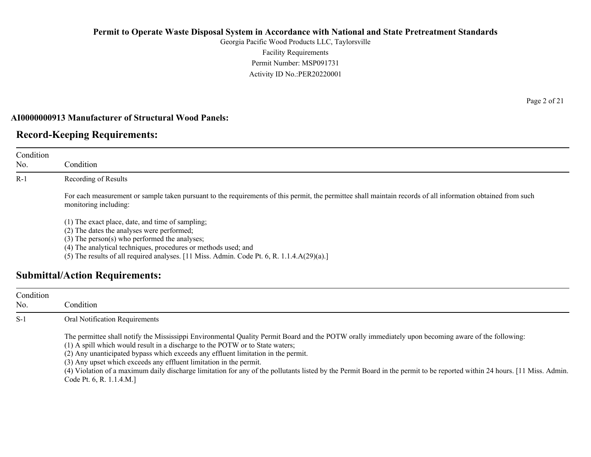Georgia Pacific Wood Products LLC, Taylorsville Facility Requirements Permit Number: MSP091731 Activity ID No.:PER20220001

## **AI0000000913 Manufacturer of Structural Wood Panels:**

# **Record-Keeping Requirements:**

| Condition<br>No. | Condition                                                                                                                                                                                                                                                                                                                                                      |
|------------------|----------------------------------------------------------------------------------------------------------------------------------------------------------------------------------------------------------------------------------------------------------------------------------------------------------------------------------------------------------------|
| $R-1$            | Recording of Results                                                                                                                                                                                                                                                                                                                                           |
|                  | For each measurement or sample taken pursuant to the requirements of this permit, the permittee shall maintain records of all information obtained from such<br>monitoring including:                                                                                                                                                                          |
|                  | (1) The exact place, date, and time of sampling;<br>(2) The dates the analyses were performed;<br>$(3)$ The person $(s)$ who performed the analyses;<br>(4) The analytical techniques, procedures or methods used; and<br>(5) The results of all required analyses. $[11 \text{ Miss. } \text{Admin. } \text{Code Pt. } 6, \text{R. } 1.1.4 \text{A}(29)(a).]$ |
|                  | <b>Submittal/Action Requirements:</b>                                                                                                                                                                                                                                                                                                                          |

| Condition<br>No. | Condition                                                                                                                                                                                                                                                                                                                                                                                                                                                                                                                                                                                                 |
|------------------|-----------------------------------------------------------------------------------------------------------------------------------------------------------------------------------------------------------------------------------------------------------------------------------------------------------------------------------------------------------------------------------------------------------------------------------------------------------------------------------------------------------------------------------------------------------------------------------------------------------|
| $S-1$            | <b>Oral Notification Requirements</b>                                                                                                                                                                                                                                                                                                                                                                                                                                                                                                                                                                     |
|                  | The permittee shall notify the Mississippi Environmental Quality Permit Board and the POTW orally immediately upon becoming aware of the following:<br>(1) A spill which would result in a discharge to the POTW or to State waters;<br>(2) Any unanticipated bypass which exceeds any effluent limitation in the permit.<br>(3) Any upset which exceeds any effluent limitation in the permit.<br>(4) Violation of a maximum daily discharge limitation for any of the pollutants listed by the Permit Board in the permit to be reported within 24 hours. [11 Miss. Admin.]<br>Code Pt. 6, R. 1.1.4.M.] |

Page 2 of 21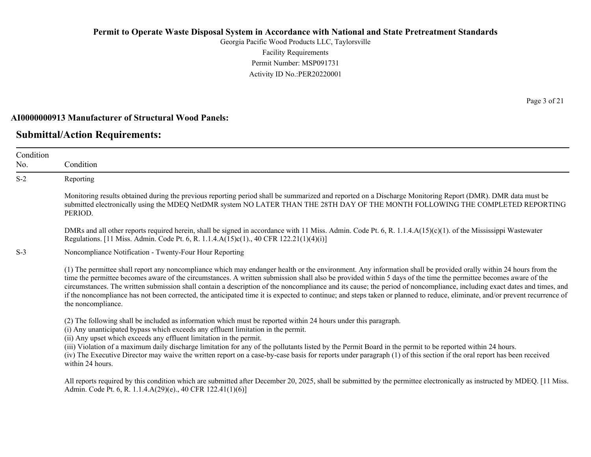Georgia Pacific Wood Products LLC, Taylorsville Facility Requirements Permit Number: MSP091731 Activity ID No.:PER20220001

#### **AI0000000913 Manufacturer of Structural Wood Panels:**

## **Submittal/Action Requirements:**

No.

Condition Condition S-2 Reporting Monitoring results obtained during the previous reporting period shall be summarized and reported on a Discharge Monitoring Report (DMR). DMR data must be submitted electronically using the MDEQ NetDMR system NO LATER THAN THE 28TH DAY OF THE MONTH FOLLOWING THE COMPLETED REPORTING PERIOD. DMRs and all other reports required herein, shall be signed in accordance with 11 Miss. Admin. Code Pt. 6, R. 1.1.4.A(15)(c)(1). of the Mississippi Wastewater Regulations. [11 Miss. Admin. Code Pt. 6, R. 1.1.4.A(15)c(1)., 40 CFR 122.21(1)(4)(i)] S-3 Noncompliance Notification - Twenty-Four Hour Reporting (1) The permittee shall report any noncompliance which may endanger health or the environment. Any information shall be provided orally within 24 hours from the time the permittee becomes aware of the circumstances. A written submission shall also be provided within 5 days of the time the permittee becomes aware of the circumstances. The written submission shall contain a description of the noncompliance and its cause; the period of noncompliance, including exact dates and times, and if the noncompliance has not been corrected, the anticipated time it is expected to continue; and steps taken or planned to reduce, eliminate, and/or prevent recurrence of the noncompliance. (2) The following shall be included as information which must be reported within 24 hours under this paragraph. (i) Any unanticipated bypass which exceeds any effluent limitation in the permit. (ii) Any upset which exceeds any effluent limitation in the permit. (iii) Violation of a maximum daily discharge limitation for any of the pollutants listed by the Permit Board in the permit to be reported within 24 hours. (iv) The Executive Director may waive the written report on a case-by-case basis for reports under paragraph (1) of this section if the oral report has been received within 24 hours. All reports required by this condition which are submitted after December 20, 2025, shall be submitted by the permittee electronically as instructed by MDEQ. [11 Miss.] Admin. Code Pt. 6, R. 1.1.4.A(29)(e)., 40 CFR 122.41(1)(6)]

Page 3 of 21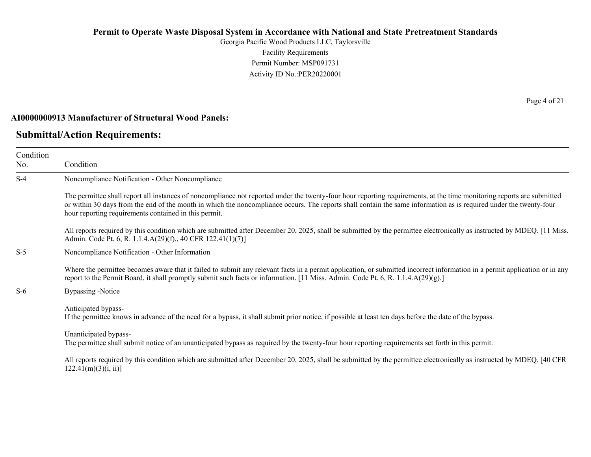Georgia Pacific Wood Products LLC, Taylorsville Facility Requirements Permit Number: MSP091731 Activity ID No.:PER20220001

#### **AI0000000913 Manufacturer of Structural Wood Panels:**

## **Submittal/Action Requirements:**

Condition No. Condition S-4 Noncompliance Notification - Other Noncompliance The permittee shall report all instances of noncompliance not reported under the twenty-four hour reporting requirements, at the time monitoring reports are submitted or within 30 days from the end of the month in which the noncompliance occurs. The reports shall contain the same information as is required under the twenty-four hour reporting requirements contained in this permit. All reports required by this condition which are submitted after December 20, 2025, shall be submitted by the permittee electronically as instructed by MDEQ. [11 Miss.] Admin. Code Pt. 6, R. 1.1.4.A(29)(f)., 40 CFR 122.41(1)(7)] S-5 Noncompliance Notification - Other Information Where the permittee becomes aware that it failed to submit any relevant facts in a permit application, or submitted incorrect information in a permit application or in any report to the Permit Board, it shall promptly submit such facts or information. [11 Miss. Admin. Code Pt. 6, R. 1.1.4.A(29)(g).] S-6 Bypassing -Notice Anticipated bypass-If the permittee knows in advance of the need for a bypass, it shall submit prior notice, if possible at least ten days before the date of the bypass. Unanticipated bypass-The permittee shall submit notice of an unanticipated bypass as required by the twenty-four hour reporting requirements set forth in this permit. All reports required by this condition which are submitted after December 20, 2025, shall be submitted by the permittee electronically as instructed by MDEQ. [40 CFR  $122.41(m)(3)(i, ii)$ ]

Page 4 of 21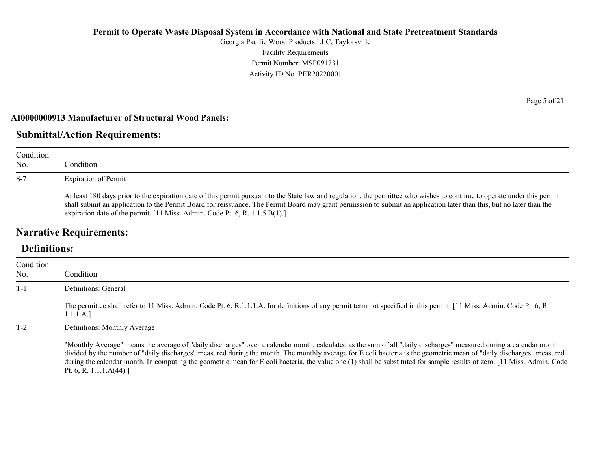Georgia Pacific Wood Products LLC, Taylorsville Facility Requirements Permit Number: MSP091731 Activity ID No.:PER20220001

### **AI0000000913 Manufacturer of Structural Wood Panels:**

# **Submittal/Action Requirements:**

| Condition<br>No. | Condition                                                                                                                                                                                                                                                                                                                                                                                                                                                        |
|------------------|------------------------------------------------------------------------------------------------------------------------------------------------------------------------------------------------------------------------------------------------------------------------------------------------------------------------------------------------------------------------------------------------------------------------------------------------------------------|
| $S-7$            | <b>Expiration of Permit</b><br>At least 180 days prior to the expiration date of this permit pursuant to the State law and regulation, the permittee who wishes to continue to operate under this permit<br>shall submit an application to the Permit Board for reissuance. The Permit Board may grant permission to submit an application later than this, but no later than the<br>expiration date of the permit. [11 Miss. Admin. Code Pt. 6, R. 1.1.5.B(1).] |

# **Narrative Requirements:**

# **Definitions:**

| Condition |                                                                                                                                                                                                                                                                                                                                                                                                                                                                                                                                                     |
|-----------|-----------------------------------------------------------------------------------------------------------------------------------------------------------------------------------------------------------------------------------------------------------------------------------------------------------------------------------------------------------------------------------------------------------------------------------------------------------------------------------------------------------------------------------------------------|
| No.       | Condition                                                                                                                                                                                                                                                                                                                                                                                                                                                                                                                                           |
| $T-1$     | Definitions: General                                                                                                                                                                                                                                                                                                                                                                                                                                                                                                                                |
|           | The permittee shall refer to 11 Miss. Admin. Code Pt. 6, R.1.1.1.A. for definitions of any permit term not specified in this permit. [11 Miss. Admin. Code Pt. 6, R.<br>1.1.1.A.]                                                                                                                                                                                                                                                                                                                                                                   |
| $T-2$     | Definitions: Monthly Average                                                                                                                                                                                                                                                                                                                                                                                                                                                                                                                        |
|           | "Monthly Average" means the average of "daily discharges" over a calendar month, calculated as the sum of all "daily discharges" measured during a calendar month<br>divided by the number of "daily discharges" measured during the month. The monthly average for E coli bacteria is the geometric mean of "daily discharges" measured<br>during the calendar month. In computing the geometric mean for E coli bacteria, the value one (1) shall be substituted for sample results of zero. [11 Miss. Admin. Code<br>Pt. 6, R. 1.1.1. $A(44)$ .] |

Page 5 of 21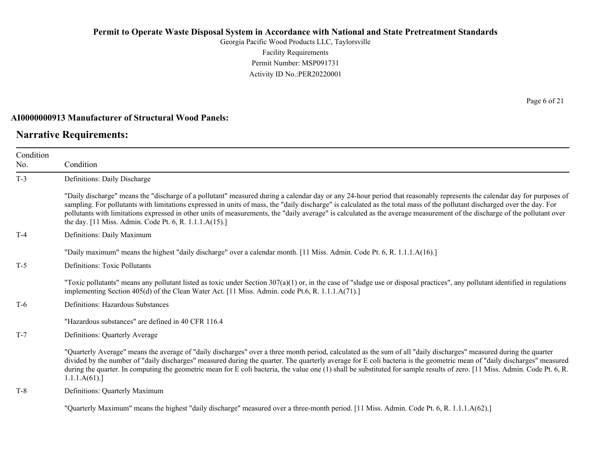Georgia Pacific Wood Products LLC, Taylorsville Facility Requirements Permit Number: MSP091731 Activity ID No.:PER20220001

### **AI0000000913 Manufacturer of Structural Wood Panels:**

# **Narrative Requirements:**

Page 6 of 21

| Condition<br>No. | Condition                                                                                                                                                                                                                                                                                                                                                                                                                                                                                                                                                                                   |
|------------------|---------------------------------------------------------------------------------------------------------------------------------------------------------------------------------------------------------------------------------------------------------------------------------------------------------------------------------------------------------------------------------------------------------------------------------------------------------------------------------------------------------------------------------------------------------------------------------------------|
| $T-3$            | Definitions: Daily Discharge                                                                                                                                                                                                                                                                                                                                                                                                                                                                                                                                                                |
|                  | "Daily discharge" means the "discharge of a pollutant" measured during a calendar day or any 24-hour period that reasonably represents the calendar day for purposes of<br>sampling. For pollutants with limitations expressed in units of mass, the "daily discharge" is calculated as the total mass of the pollutant discharged over the day. For<br>pollutants with limitations expressed in other units of measurements, the "daily average" is calculated as the average measurement of the discharge of the pollutant over<br>the day. [11 Miss. Admin. Code Pt. 6, R. 1.1.1.A(15).] |
| $T-4$            | Definitions: Daily Maximum                                                                                                                                                                                                                                                                                                                                                                                                                                                                                                                                                                  |
|                  | "Daily maximum" means the highest "daily discharge" over a calendar month. [11 Miss. Admin. Code Pt. 6, R. 1.1.1.A(16).]                                                                                                                                                                                                                                                                                                                                                                                                                                                                    |
| $T-5$            | <b>Definitions: Toxic Pollutants</b>                                                                                                                                                                                                                                                                                                                                                                                                                                                                                                                                                        |
|                  | "Toxic pollutants" means any pollutant listed as toxic under Section $307(a)(1)$ or, in the case of "sludge use or disposal practices", any pollutant identified in regulations<br>implementing Section 405(d) of the Clean Water Act. [11 Miss. Admin. code Pt.6, R. 1.1.1.A(71).]                                                                                                                                                                                                                                                                                                         |
| $T-6$            | Definitions: Hazardous Substances                                                                                                                                                                                                                                                                                                                                                                                                                                                                                                                                                           |
|                  | "Hazardous substances" are defined in 40 CFR 116.4                                                                                                                                                                                                                                                                                                                                                                                                                                                                                                                                          |
| $T-7$            | Definitions: Quarterly Average                                                                                                                                                                                                                                                                                                                                                                                                                                                                                                                                                              |
|                  | "Quarterly Average" means the average of "daily discharges" over a three month period, calculated as the sum of all "daily discharges" measured during the quarter<br>divided by the number of "daily discharges" measured during the quarter. The quarterly average for E coli bacteria is the geometric mean of "daily discharges" measured<br>during the quarter. In computing the geometric mean for E coli bacteria, the value one (1) shall be substituted for sample results of zero. [11 Miss. Admin. Code Pt. 6, R.<br>1.1.1.A(61).                                                |
| $T-8$            | Definitions: Quarterly Maximum                                                                                                                                                                                                                                                                                                                                                                                                                                                                                                                                                              |
|                  |                                                                                                                                                                                                                                                                                                                                                                                                                                                                                                                                                                                             |

"Quarterly Maximum" means the highest "daily discharge" measured over a three-month period. [11 Miss. Admin. Code Pt. 6, R. 1.1.1.A(62).]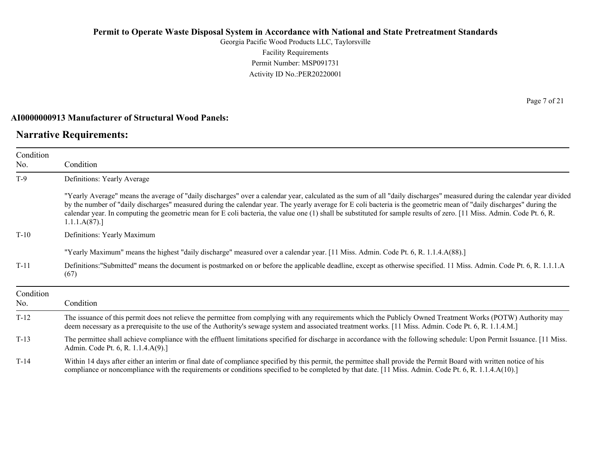Georgia Pacific Wood Products LLC, Taylorsville Facility Requirements Permit Number: MSP091731 Activity ID No.:PER20220001

#### **AI0000000913 Manufacturer of Structural Wood Panels:**

## **Narrative Requirements:**

Condition

Condition No.

T-9 Definitions: Yearly Average "Yearly Average" means the average of "daily discharges" over a calendar year, calculated as the sum of all "daily discharges" measured during the calendar year divided

by the number of "daily discharges" measured during the calendar year. The yearly average for E coli bacteria is the geometric mean of "daily discharges" during the calendar year. In computing the geometric mean for E coli bacteria, the value one (1) shall be substituted for sample results of zero. [11 Miss. Admin. Code Pt. 6, R. 1.1.1.A(87).]

T-10 Definitions: Yearly Maximum

"Yearly Maximum" means the highest "daily discharge" measured over a calendar year. [11 Miss. Admin. Code Pt. 6, R. 1.1.4.A(88).]

T-11 Definitions:"Submitted" means the document is postmarked on or before the applicable deadline, except as otherwise specified. 11 Miss. Admin. Code Pt. 6, R. 1.1.1.A (67)

| Condition<br>No. | Condition                                                                                                                                                                                                                                                                                                                     |
|------------------|-------------------------------------------------------------------------------------------------------------------------------------------------------------------------------------------------------------------------------------------------------------------------------------------------------------------------------|
| $T-12$           | The issuance of this permit does not relieve the permittee from complying with any requirements which the Publicly Owned Treatment Works (POTW) Authority may<br>deem necessary as a prerequisite to the use of the Authority's sewage system and associated treatment works. [11 Miss. Admin. Code Pt. 6, R. 1.1.4.M.]       |
| $T-13$           | The permittee shall achieve compliance with the effluent limitations specified for discharge in accordance with the following schedule: Upon Permit Issuance. [11 Miss.]<br>Admin. Code Pt. 6, R. 1.1.4.A(9).]                                                                                                                |
| $T-14$           | Within 14 days after either an interim or final date of compliance specified by this permit, the permittee shall provide the Permit Board with written notice of his<br>compliance or noncompliance with the requirements or conditions specified to be completed by that date. [11 Miss. Admin. Code Pt. 6, R. 1.1.4.A(10).] |

Page 7 of 21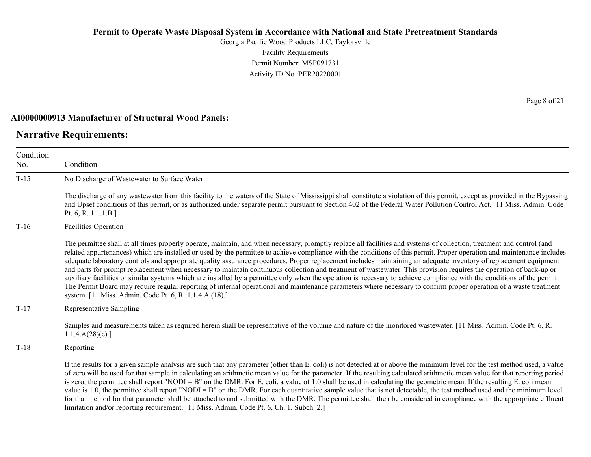Georgia Pacific Wood Products LLC, Taylorsville Facility Requirements Permit Number: MSP091731 Activity ID No.:PER20220001

#### **AI0000000913 Manufacturer of Structural Wood Panels:**

## **Narrative Requirements:**

Condition No. Condition T-15 No Discharge of Wastewater to Surface Water The discharge of any wastewater from this facility to the waters of the State of Mississippi shall constitute a violation of this permit, except as provided in the Bypassing and Upset conditions of this permit, or as authorized under separate permit pursuant to Section 402 of the Federal Water Pollution Control Act. [11 Miss. Admin. Code Pt. 6, R. 1.1.1.B.] T-16 Facilities Operation The permittee shall at all times properly operate, maintain, and when necessary, promptly replace all facilities and systems of collection, treatment and control (and related appurtenances) which are installed or used by the permittee to achieve compliance with the conditions of this permit. Proper operation and maintenance includes adequate laboratory controls and appropriate quality assurance procedures. Proper replacement includes maintaining an adequate inventory of replacement equipment and parts for prompt replacement when necessary to maintain continuous collection and treatment of wastewater. This provision requires the operation of back-up or auxiliary facilities or similar systems which are installed by a permittee only when the operation is necessary to achieve compliance with the conditions of the permit. The Permit Board may require regular reporting of internal operational and maintenance parameters where necessary to confirm proper operation of a waste treatment system. [11 Miss. Admin. Code Pt. 6, R. 1.1.4.A.(18).] T-17 Representative Sampling Samples and measurements taken as required herein shall be representative of the volume and nature of the monitored wastewater. [11 Miss. Admin. Code Pt. 6, R. 1.1.4.A(28)(e).] T-18 Reporting If the results for a given sample analysis are such that any parameter (other than E. coli) is not detected at or above the minimum level for the test method used, a value of zero will be used for that sample in calculating an arithmetic mean value for the parameter. If the resulting calculated arithmetic mean value for that reporting period is zero, the permittee shall report "NODI = B" on the DMR. For E. coli, a value of 1.0 shall be used in calculating the geometric mean. If the resulting E. coli mean value is 1.0, the permittee shall report "NODI = B" on the DMR. For each quantitative sample value that is not detectable, the test method used and the minimum level for that method for that parameter shall be attached to and submitted with the DMR. The permittee shall then be considered in compliance with the appropriate effluent limitation and/or reporting requirement. [11 Miss. Admin. Code Pt. 6, Ch. 1, Subch. 2.]

Page 8 of 21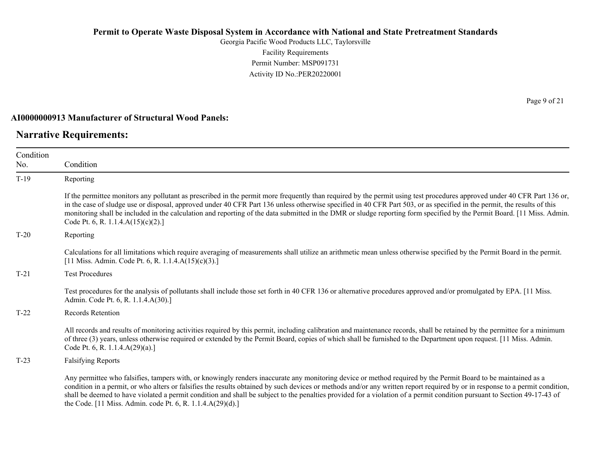Georgia Pacific Wood Products LLC, Taylorsville Facility Requirements Permit Number: MSP091731 Activity ID No.:PER20220001

#### **AI0000000913 Manufacturer of Structural Wood Panels:**

## **Narrative Requirements:**

Condition No. Condition T-19 Reporting If the permittee monitors any pollutant as prescribed in the permit more frequently than required by the permit using test procedures approved under 40 CFR Part 136 or, in the case of sludge use or disposal, approved under 40 CFR Part 136 unless otherwise specified in 40 CFR Part 503, or as specified in the permit, the results of this monitoring shall be included in the calculation and reporting of the data submitted in the DMR or sludge reporting form specified by the Permit Board. [11 Miss. Admin. Code Pt. 6, R. 1.1.4.A(15)(c)(2).] T-20 Reporting Calculations for all limitations which require averaging of measurements shall utilize an arithmetic mean unless otherwise specified by the Permit Board in the permit. [11 Miss. Admin. Code Pt. 6, R. 1.1.4.A(15)(c)(3).] T-21 Test Procedures Test procedures for the analysis of pollutants shall include those set forth in 40 CFR 136 or alternative procedures approved and/or promulgated by EPA. [11 Miss. Admin. Code Pt. 6, R. 1.1.4.A(30).] T-22 Records Retention All records and results of monitoring activities required by this permit, including calibration and maintenance records, shall be retained by the permittee for a minimum of three (3) years, unless otherwise required or extended by the Permit Board, copies of which shall be furnished to the Department upon request. [11 Miss. Admin. Code Pt. 6, R. 1.1.4.A(29)(a).] T-23 Falsifying Reports Any permittee who falsifies, tampers with, or knowingly renders inaccurate any monitoring device or method required by the Permit Board to be maintained as a condition in a permit, or who alters or falsifies the results obtained by such devices or methods and/or any written report required by or in response to a permit condition, shall be deemed to have violated a permit condition and shall be subject to the penalties provided for a violation of a permit condition pursuant to Section 49-17-43 of

the Code. [11 Miss. Admin. code Pt. 6, R. 1.1.4.A(29)(d).]

Page 9 of 21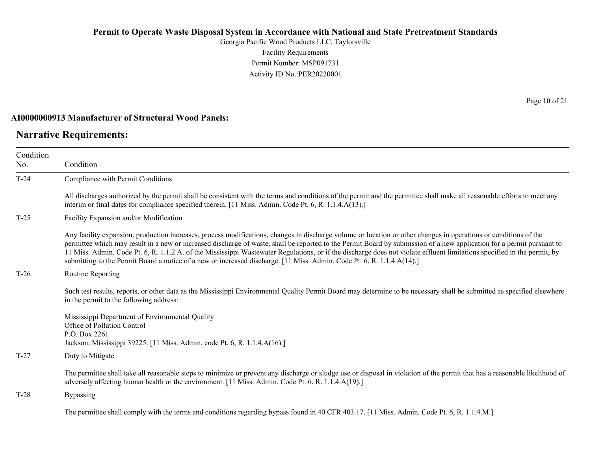Georgia Pacific Wood Products LLC, Taylorsville Facility Requirements Permit Number: MSP091731 Activity ID No.:PER20220001

#### **AI0000000913 Manufacturer of Structural Wood Panels:**

## **Narrative Requirements:**

Condition No. Condition T-24 Compliance with Permit Conditions All discharges authorized by the permit shall be consistent with the terms and conditions of the permit and the permittee shall make all reasonable efforts to meet any interim or final dates for compliance specified therein. [11 Miss. Admin. Code Pt. 6, R. 1.1.4.A(13).] T-25 Facility Expansion and/or Modification Any facility expansion, production increases, process modifications, changes in discharge volume or location or other changes in operations or conditions of the permittee which may result in a new or increased discharge of waste, shall be reported to the Permit Board by submission of a new application for a permit pursuant to 11 Miss. Admin. Code Pt. 6, R. 1.1.2.A. of the Mississippi Wastewater Regulations, or if the discharge does not violate effluent limitations specified in the permit, by submitting to the Permit Board a notice of a new or increased discharge. [11 Miss. Admin. Code Pt. 6, R. 1.1.4.A(14).] T-26 Routine Reporting Such test results, reports, or other data as the Mississippi Environmental Quality Permit Board may determine to be necessary shall be submitted as specified elsewhere in the permit to the following address: Mississippi Department of Environmental Quality Office of Pollution Control P.O. Box 2261 Jackson, Mississippi 39225. [11 Miss. Admin. code Pt. 6, R. 1.1.4.A(16).] T-27 Duty to Mitigate The permittee shall take all reasonable steps to minimize or prevent any discharge or sludge use or disposal in violation of the permit that has a reasonable likelihood of adversely affecting human health or the environment. [11 Miss. Admin. Code Pt. 6, R. 1.1.4.A(19).] T-28 Bypassing The permittee shall comply with the terms and conditions regarding bypass found in 40 CFR 403.17. [11 Miss. Admin. Code Pt. 6, R. 1.1.4.M.]

Page 10 of 21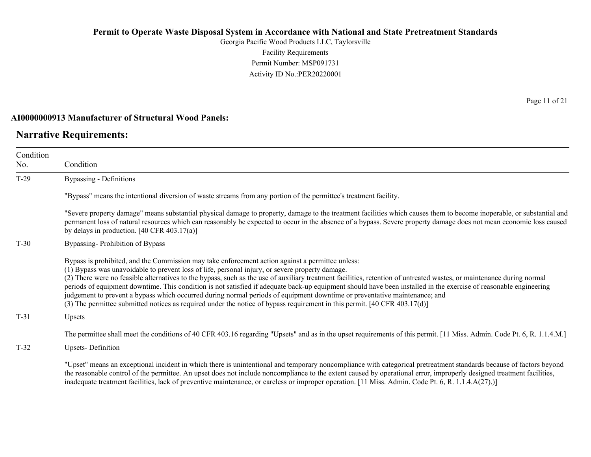Georgia Pacific Wood Products LLC, Taylorsville Facility Requirements Permit Number: MSP091731 Activity ID No.:PER20220001

#### **AI0000000913 Manufacturer of Structural Wood Panels:**

## **Narrative Requirements:**

Condition No. Condition T-29 Bypassing - Definitions "Bypass" means the intentional diversion of waste streams from any portion of the permittee's treatment facility. "Severe property damage" means substantial physical damage to property, damage to the treatment facilities which causes them to become inoperable, or substantial and permanent loss of natural resources which can reasonably be expected to occur in the absence of a bypass. Severe property damage does not mean economic loss caused by delays in production. [40 CFR 403.17(a)] T-30 Bypassing- Prohibition of Bypass Bypass is prohibited, and the Commission may take enforcement action against a permittee unless: (1) Bypass was unavoidable to prevent loss of life, personal injury, or severe property damage. (2) There were no feasible alternatives to the bypass, such as the use of auxiliary treatment facilities, retention of untreated wastes, or maintenance during normal periods of equipment downtime. This condition is not satisfied if adequate back-up equipment should have been installed in the exercise of reasonable engineering judgement to prevent a bypass which occurred during normal periods of equipment downtime or preventative maintenance; and (3) The permittee submitted notices as required under the notice of bypass requirement in this permit. [40 CFR 403.17(d)] T-31 Upsets The permittee shall meet the conditions of 40 CFR 403.16 regarding "Upsets" and as in the upset requirements of this permit. [11 Miss. Admin. Code Pt. 6, R. 1.1.4.M.]

T-32 Upsets- Definition

"Upset" means an exceptional incident in which there is unintentional and temporary noncompliance with categorical pretreatment standards because of factors beyond the reasonable control of the permittee. An upset does not include noncompliance to the extent caused by operational error, improperly designed treatment facilities, inadequate treatment facilities, lack of preventive maintenance, or careless or improper operation. [11 Miss. Admin. Code Pt. 6, R. 1.1.4.A(27).)]

Page 11 of 21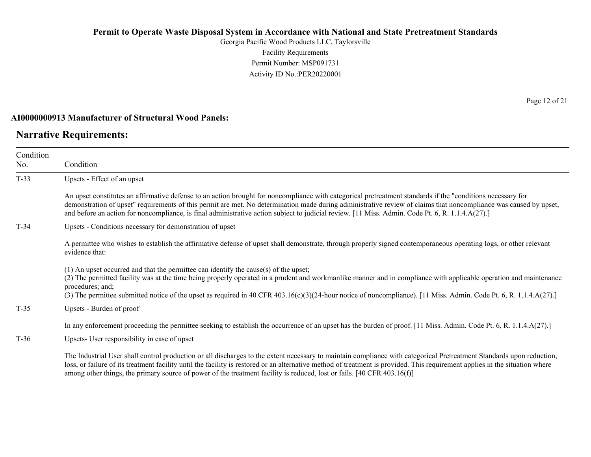Georgia Pacific Wood Products LLC, Taylorsville Facility Requirements Permit Number: MSP091731 Activity ID No.:PER20220001

### **AI0000000913 Manufacturer of Structural Wood Panels:**

# **Narrative Requirements:**

| Condition<br>No. | Condition                                                                                                                                                                                                                                                                                                                                                                                                                                                                            |  |  |  |
|------------------|--------------------------------------------------------------------------------------------------------------------------------------------------------------------------------------------------------------------------------------------------------------------------------------------------------------------------------------------------------------------------------------------------------------------------------------------------------------------------------------|--|--|--|
| $T-33$           | Upsets - Effect of an upset                                                                                                                                                                                                                                                                                                                                                                                                                                                          |  |  |  |
|                  | An upset constitutes an affirmative defense to an action brought for noncompliance with categorical pretreatment standards if the "conditions necessary for<br>demonstration of upset" requirements of this permit are met. No determination made during administrative review of claims that noncompliance was caused by upset,<br>and before an action for noncompliance, is final administrative action subject to judicial review. [11 Miss. Admin. Code Pt. 6, R. 1.1.4.A(27).] |  |  |  |
| $T-34$           | Upsets - Conditions necessary for demonstration of upset                                                                                                                                                                                                                                                                                                                                                                                                                             |  |  |  |
|                  | A permittee who wishes to establish the affirmative defense of upset shall demonstrate, through properly signed contemporaneous operating logs, or other relevant<br>evidence that:                                                                                                                                                                                                                                                                                                  |  |  |  |
|                  | $(1)$ An upset occurred and that the permittee can identify the cause(s) of the upset;<br>(2) The permitted facility was at the time being properly operated in a prudent and workmanlike manner and in compliance with applicable operation and maintenance<br>procedures; and;<br>(3) The permittee submitted notice of the upset as required in 40 CFR 403.16(c)(3)(24-hour notice of noncompliance). [11 Miss. Admin. Code Pt. 6, R. 1.1.4.A(27).]                               |  |  |  |
| $T-35$           | Upsets - Burden of proof                                                                                                                                                                                                                                                                                                                                                                                                                                                             |  |  |  |
|                  | In any enforcement proceeding the permittee seeking to establish the occurrence of an upset has the burden of proof. [11 Miss. Admin. Code Pt. 6, R. 1.1.4.A(27).]                                                                                                                                                                                                                                                                                                                   |  |  |  |
| $T-36$           | Upsets- User responsibility in case of upset                                                                                                                                                                                                                                                                                                                                                                                                                                         |  |  |  |
|                  | The Industrial User shall control production or all discharges to the extent necessary to maintain compliance with categorical Pretreatment Standards upon reduction,<br>loss, or failure of its treatment facility until the facility is restored or an alternative method of treatment is provided. This requirement applies in the situation where<br>among other things, the primary source of power of the treatment facility is reduced, lost or fails. [40 CFR 403.16(f)]     |  |  |  |

Page 12 of 21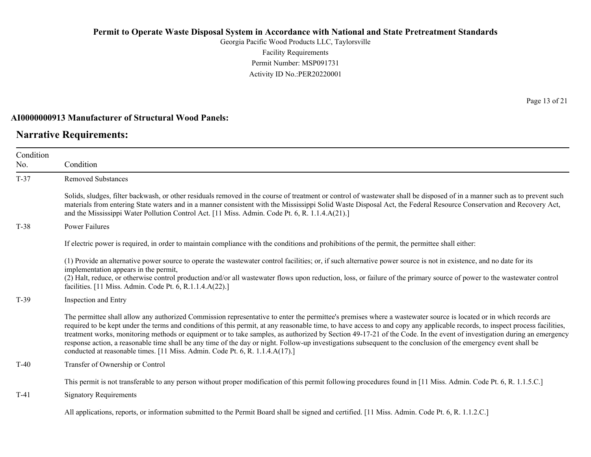Georgia Pacific Wood Products LLC, Taylorsville Facility Requirements Permit Number: MSP091731 Activity ID No.:PER20220001

### **AI0000000913 Manufacturer of Structural Wood Panels:**

# **Narrative Requirements:**

Page 13 of 21

| Condition<br>No. | Condition                                                                                                                                                                                                                                                                                                                                                                                                                                                                                                                                                                                                                                                                                                                                                                     |
|------------------|-------------------------------------------------------------------------------------------------------------------------------------------------------------------------------------------------------------------------------------------------------------------------------------------------------------------------------------------------------------------------------------------------------------------------------------------------------------------------------------------------------------------------------------------------------------------------------------------------------------------------------------------------------------------------------------------------------------------------------------------------------------------------------|
| $T-37$           | <b>Removed Substances</b>                                                                                                                                                                                                                                                                                                                                                                                                                                                                                                                                                                                                                                                                                                                                                     |
|                  | Solids, sludges, filter backwash, or other residuals removed in the course of treatment or control of wastewater shall be disposed of in a manner such as to prevent such<br>materials from entering State waters and in a manner consistent with the Mississippi Solid Waste Disposal Act, the Federal Resource Conservation and Recovery Act,<br>and the Mississippi Water Pollution Control Act. [11 Miss. Admin. Code Pt. 6, R. 1.1.4.A(21).]                                                                                                                                                                                                                                                                                                                             |
| $T-38$           | Power Failures                                                                                                                                                                                                                                                                                                                                                                                                                                                                                                                                                                                                                                                                                                                                                                |
|                  | If electric power is required, in order to maintain compliance with the conditions and prohibitions of the permit, the permittee shall either:                                                                                                                                                                                                                                                                                                                                                                                                                                                                                                                                                                                                                                |
|                  | (1) Provide an alternative power source to operate the wastewater control facilities; or, if such alternative power source is not in existence, and no date for its<br>implementation appears in the permit,<br>(2) Halt, reduce, or otherwise control production and/or all wastewater flows upon reduction, loss, or failure of the primary source of power to the wastewater control<br>facilities. [11 Miss. Admin. Code Pt. 6, R.1.1.4.A(22).]                                                                                                                                                                                                                                                                                                                           |
| $T-39$           | Inspection and Entry                                                                                                                                                                                                                                                                                                                                                                                                                                                                                                                                                                                                                                                                                                                                                          |
|                  | The permittee shall allow any authorized Commission representative to enter the permittee's premises where a wastewater source is located or in which records are<br>required to be kept under the terms and conditions of this permit, at any reasonable time, to have access to and copy any applicable records, to inspect process facilities,<br>treatment works, monitoring methods or equipment or to take samples, as authorized by Section 49-17-21 of the Code. In the event of investigation during an emergency<br>response action, a reasonable time shall be any time of the day or night. Follow-up investigations subsequent to the conclusion of the emergency event shall be<br>conducted at reasonable times. [11 Miss. Admin. Code Pt. 6, R. 1.1.4.A(17).] |
| $T-40$           | Transfer of Ownership or Control                                                                                                                                                                                                                                                                                                                                                                                                                                                                                                                                                                                                                                                                                                                                              |
|                  | This permit is not transferable to any person without proper modification of this permit following procedures found in [11 Miss. Admin. Code Pt. 6, R. 1.1.5.C.]                                                                                                                                                                                                                                                                                                                                                                                                                                                                                                                                                                                                              |
| $T-41$           | <b>Signatory Requirements</b>                                                                                                                                                                                                                                                                                                                                                                                                                                                                                                                                                                                                                                                                                                                                                 |
|                  | All applications, reports, or information submitted to the Permit Board shall be signed and certified. [11 Miss. Admin. Code Pt. 6, R. 1.1.2.C.]                                                                                                                                                                                                                                                                                                                                                                                                                                                                                                                                                                                                                              |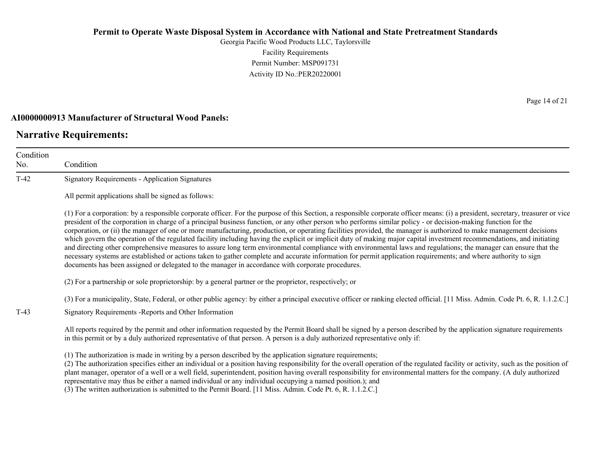Georgia Pacific Wood Products LLC, Taylorsville Facility Requirements Permit Number: MSP091731 Activity ID No.:PER20220001

#### **AI0000000913 Manufacturer of Structural Wood Panels:**

# **Narrative Requirements:**

Condition No. Condition T-42 Signatory Requirements - Application Signatures All permit applications shall be signed as follows: (1) For a corporation: by a responsible corporate officer. For the purpose of this Section, a responsible corporate officer means: (i) a president, secretary, treasurer or vice president of the corporation in charge of a principal business function, or any other person who performs similar policy - or decision-making function for the corporation, or (ii) the manager of one or more manufacturing, production, or operating facilities provided, the manager is authorized to make management decisions which govern the operation of the regulated facility including having the explicit or implicit duty of making major capital investment recommendations, and initiating and directing other comprehensive measures to assure long term environmental compliance with environmental laws and regulations; the manager can ensure that the necessary systems are established or actions taken to gather complete and accurate information for permit application requirements; and where authority to sign documents has been assigned or delegated to the manager in accordance with corporate procedures. (2) For a partnership or sole proprietorship: by a general partner or the proprietor, respectively; or (3) For a municipality, State, Federal, or other public agency: by either a principal executive officer or ranking elected official. [11 Miss. Admin. Code Pt. 6, R. 1.1.2.C.] T-43 Signatory Requirements -Reports and Other Information All reports required by the permit and other information requested by the Permit Board shall be signed by a person described by the application signature requirements in this permit or by a duly authorized representative of that person. A person is a duly authorized representative only if: (1) The authorization is made in writing by a person described by the application signature requirements; (2) The authorization specifies either an individual or a position having responsibility for the overall operation of the regulated facility or activity, such as the position of plant manager, operator of a well or a well field, superintendent, position having overall responsibility for environmental matters for the company. (A duly authorized

representative may thus be either a named individual or any individual occupying a named position.); and

(3) The written authorization is submitted to the Permit Board. [11 Miss. Admin. Code Pt. 6, R. 1.1.2.C.]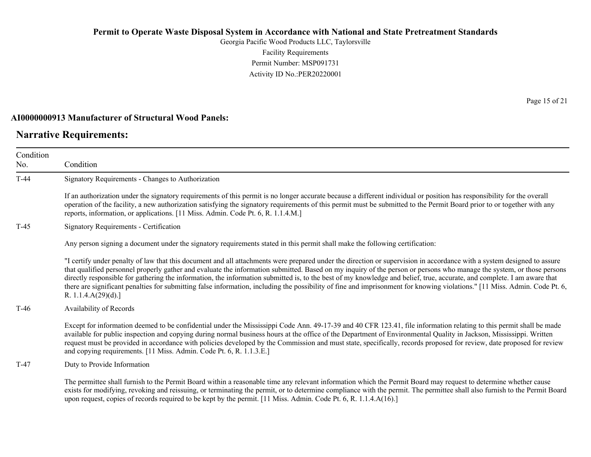Georgia Pacific Wood Products LLC, Taylorsville Facility Requirements Permit Number: MSP091731 Activity ID No.:PER20220001

#### **AI0000000913 Manufacturer of Structural Wood Panels:**

## **Narrative Requirements:**

Condition No. Condition T-44 Signatory Requirements - Changes to Authorization If an authorization under the signatory requirements of this permit is no longer accurate because a different individual or position has responsibility for the overall operation of the facility, a new authorization satisfying the signatory requirements of this permit must be submitted to the Permit Board prior to or together with any reports, information, or applications. [11 Miss. Admin. Code Pt. 6, R. 1.1.4.M.] T-45 Signatory Requirements - Certification Any person signing a document under the signatory requirements stated in this permit shall make the following certification: "I certify under penalty of law that this document and all attachments were prepared under the direction or supervision in accordance with a system designed to assure that qualified personnel properly gather and evaluate the information submitted. Based on my inquiry of the person or persons who manage the system, or those persons directly responsible for gathering the information, the information submitted is, to the best of my knowledge and belief, true, accurate, and complete. I am aware that there are significant penalties for submitting false information, including the possibility of fine and imprisonment for knowing violations." [11 Miss. Admin. Code Pt. 6, R. 1.1.4.A(29)(d).] T-46 Availability of Records Except for information deemed to be confidential under the Mississippi Code Ann. 49-17-39 and 40 CFR 123.41, file information relating to this permit shall be made available for public inspection and copying during normal business hours at the office of the Department of Environmental Quality in Jackson, Mississippi. Written request must be provided in accordance with policies developed by the Commission and must state, specifically, records proposed for review, date proposed for review and copying requirements. [11 Miss. Admin. Code Pt. 6, R. 1.1.3.E.] T-47 Duty to Provide Information The permittee shall furnish to the Permit Board within a reasonable time any relevant information which the Permit Board may request to determine whether cause exists for modifying, revoking and reissuing, or terminating the permit, or to determine compliance with the permit. The permittee shall also furnish to the Permit Board upon request, copies of records required to be kept by the permit. [11 Miss. Admin. Code Pt. 6, R. 1.1.4.A(16).]

Page 15 of 21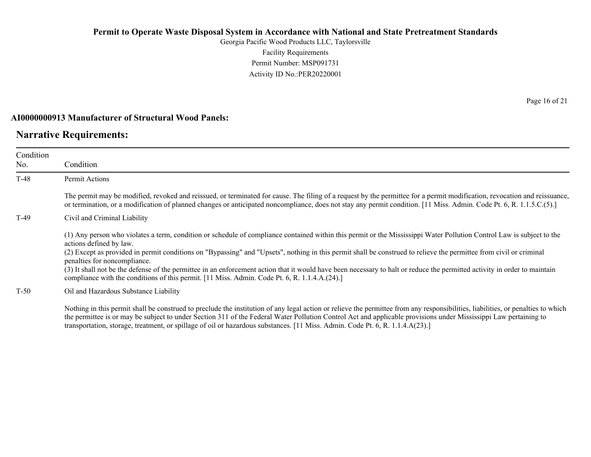Georgia Pacific Wood Products LLC, Taylorsville Facility Requirements Permit Number: MSP091731 Activity ID No.:PER20220001

#### **AI0000000913 Manufacturer of Structural Wood Panels:**

## **Narrative Requirements:**

| Condition<br>No. | Condition                                                                                                                                                                                                                                                                                                                                                                                                                                                                                                                                                                                                                                                                            |
|------------------|--------------------------------------------------------------------------------------------------------------------------------------------------------------------------------------------------------------------------------------------------------------------------------------------------------------------------------------------------------------------------------------------------------------------------------------------------------------------------------------------------------------------------------------------------------------------------------------------------------------------------------------------------------------------------------------|
| $T-48$           | Permit Actions                                                                                                                                                                                                                                                                                                                                                                                                                                                                                                                                                                                                                                                                       |
|                  | The permit may be modified, revoked and reissued, or terminated for cause. The filing of a request by the permittee for a permit modification, revocation and reissuance,<br>or termination, or a modification of planned changes or anticipated noncompliance, does not stay any permit condition. [11 Miss. Admin. Code Pt. 6, R. 1.1.5.C.(5).]                                                                                                                                                                                                                                                                                                                                    |
| T-49             | Civil and Criminal Liability                                                                                                                                                                                                                                                                                                                                                                                                                                                                                                                                                                                                                                                         |
|                  | (1) Any person who violates a term, condition or schedule of compliance contained within this permit or the Mississippi Water Pollution Control Law is subject to the<br>actions defined by law.<br>(2) Except as provided in permit conditions on "Bypassing" and "Upsets", nothing in this permit shall be construed to relieve the permittee from civil or criminal<br>penalties for noncompliance.<br>(3) It shall not be the defense of the permittee in an enforcement action that it would have been necessary to halt or reduce the permitted activity in order to maintain<br>compliance with the conditions of this permit. [11 Miss. Admin. Code Pt. 6, R. 1.1.4.A.(24).] |
| $T-50$           | Oil and Hazardous Substance Liability                                                                                                                                                                                                                                                                                                                                                                                                                                                                                                                                                                                                                                                |
|                  | Nothing in this permit shall be construed to preclude the institution of any legal action or relieve the permittee from any responsibilities, liabilities, or penalties to which<br>the permittee is or may be subject to under Section 311 of the Federal Water Pollution Control Act and applicable provisions under Mississippi Law pertaining to                                                                                                                                                                                                                                                                                                                                 |

transportation, storage, treatment, or spillage of oil or hazardous substances. [11 Miss. Admin. Code Pt. 6, R. 1.1.4.A(23).]

Page 16 of 21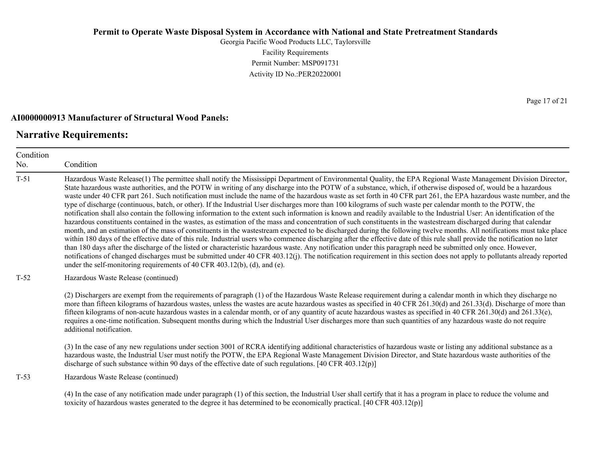Georgia Pacific Wood Products LLC, Taylorsville Facility Requirements Permit Number: MSP091731 Activity ID No.:PER20220001

#### **AI0000000913 Manufacturer of Structural Wood Panels:**

# **Narrative Requirements:**

Condition No. Condition T-51 Hazardous Waste Release(1) The permittee shall notify the Mississippi Department of Environmental Quality, the EPA Regional Waste Management Division Director, State hazardous waste authorities, and the POTW in writing of any discharge into the POTW of a substance, which, if otherwise disposed of, would be a hazardous waste under 40 CFR part 261. Such notification must include the name of the hazardous waste as set forth in 40 CFR part 261, the EPA hazardous waste number, and the type of discharge (continuous, batch, or other). If the Industrial User discharges more than 100 kilograms of such waste per calendar month to the POTW, the notification shall also contain the following information to the extent such information is known and readily available to the Industrial User: An identification of the hazardous constituents contained in the wastes, as estimation of the mass and concentration of such constituents in the wastestream discharged during that calendar month, and an estimation of the mass of constituents in the wastestream expected to be discharged during the following twelve months. All notifications must take place within 180 days of the effective date of this rule. Industrial users who commence discharging after the effective date of this rule shall provide the notification no later than 180 days after the discharge of the listed or characteristic hazardous waste. Any notification under this paragraph need be submitted only once. However, notifications of changed discharges must be submitted under 40 CFR 403.12(j). The notification requirement in this section does not apply to pollutants already reported under the self-monitoring requirements of 40 CFR 403.12(b), (d), and (e). T-52 Hazardous Waste Release (continued) (2) Dischargers are exempt from the requirements of paragraph (1) of the Hazardous Waste Release requirement during a calendar month in which they discharge no more than fifteen kilograms of hazardous wastes, unless the wastes are acute hazardous wastes as specified in 40 CFR 261.30(d) and 261.33(d). Discharge of more than fifteen kilograms of non-acute hazardous wastes in a calendar month, or of any quantity of acute hazardous wastes as specified in 40 CFR 261.30(d) and 261.33(e), requires a one-time notification. Subsequent months during which the Industrial User discharges more than such quantities of any hazardous waste do not require additional notification. (3) In the case of any new regulations under section 3001 of RCRA identifying additional characteristics of hazardous waste or listing any additional substance as a hazardous waste, the Industrial User must notify the POTW, the EPA Regional Waste Management Division Director, and State hazardous waste authorities of the discharge of such substance within 90 days of the effective date of such regulations. [40 CFR 403.12(p)] T-53 Hazardous Waste Release (continued) (4) In the case of any notification made under paragraph (1) of this section, the Industrial User shall certify that it has a program in place to reduce the volume and toxicity of hazardous wastes generated to the degree it has determined to be economically practical. [40 CFR 403.12(p)]

Page 17 of 21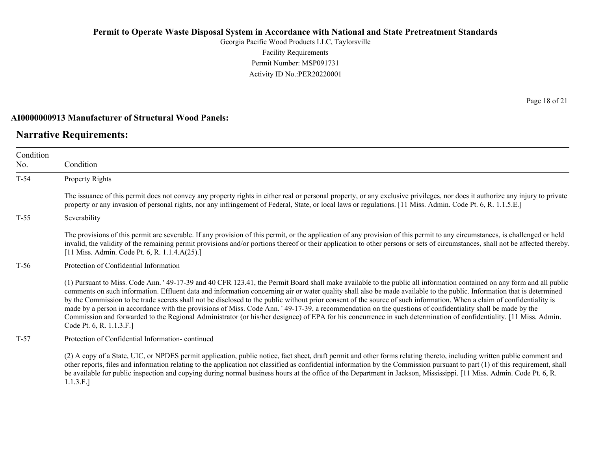Georgia Pacific Wood Products LLC, Taylorsville Facility Requirements Permit Number: MSP091731 Activity ID No.:PER20220001

#### **AI0000000913 Manufacturer of Structural Wood Panels:**

## **Narrative Requirements:**

Condition No. Condition T-54 Property Rights The issuance of this permit does not convey any property rights in either real or personal property, or any exclusive privileges, nor does it authorize any injury to private property or any invasion of personal rights, nor any infringement of Federal, State, or local laws or regulations. [11 Miss. Admin. Code Pt. 6, R. 1.1.5.E.] T-55 Severability The provisions of this permit are severable. If any provision of this permit, or the application of any provision of this permit to any circumstances, is challenged or held invalid, the validity of the remaining permit provisions and/or portions thereof or their application to other persons or sets of circumstances, shall not be affected thereby. [11 Miss. Admin. Code Pt. 6, R. 1.1.4.A(25).] T-56 Protection of Confidential Information (1) Pursuant to Miss. Code Ann. ' 49-17-39 and 40 CFR 123.41, the Permit Board shall make available to the public all information contained on any form and all public comments on such information. Effluent data and information concerning air or water quality shall also be made available to the public. Information that is determined by the Commission to be trade secrets shall not be disclosed to the public without prior consent of the source of such information. When a claim of confidentiality is made by a person in accordance with the provisions of Miss. Code Ann. ' 49-17-39, a recommendation on the questions of confidentiality shall be made by the Commission and forwarded to the Regional Administrator (or his/her designee) of EPA for his concurrence in such determination of confidentiality. [11 Miss. Admin. Code Pt. 6, R. 1.1.3.F.] T-57 Protection of Confidential Information- continued

(2) A copy of a State, UIC, or NPDES permit application, public notice, fact sheet, draft permit and other forms relating thereto, including written public comment and other reports, files and information relating to the application not classified as confidential information by the Commission pursuant to part (1) of this requirement, shall be available for public inspection and copying during normal business hours at the office of the Department in Jackson, Mississippi. [11 Miss. Admin. Code Pt. 6, R. 1.1.3.F.]

Page 18 of 21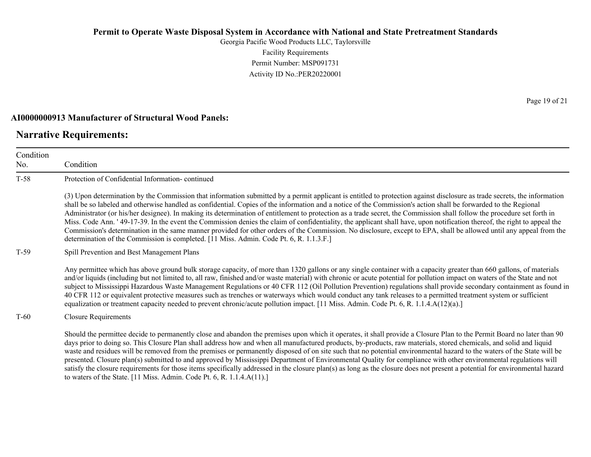Georgia Pacific Wood Products LLC, Taylorsville Facility Requirements Permit Number: MSP091731 Activity ID No.:PER20220001

#### **AI0000000913 Manufacturer of Structural Wood Panels:**

to waters of the State. [11 Miss. Admin. Code Pt. 6, R. 1.1.4.A(11).]

## **Narrative Requirements:**

Condition No. Condition T-58 Protection of Confidential Information- continued (3) Upon determination by the Commission that information submitted by a permit applicant is entitled to protection against disclosure as trade secrets, the information shall be so labeled and otherwise handled as confidential. Copies of the information and a notice of the Commission's action shall be forwarded to the Regional Administrator (or his/her designee). In making its determination of entitlement to protection as a trade secret, the Commission shall follow the procedure set forth in Miss. Code Ann. ' 49-17-39. In the event the Commission denies the claim of confidentiality, the applicant shall have, upon notification thereof, the right to appeal the Commission's determination in the same manner provided for other orders of the Commission. No disclosure, except to EPA, shall be allowed until any appeal from the determination of the Commission is completed. [11 Miss. Admin. Code Pt. 6, R. 1.1.3.F.] T-59 Spill Prevention and Best Management Plans Any permittee which has above ground bulk storage capacity, of more than 1320 gallons or any single container with a capacity greater than 660 gallons, of materials and/or liquids (including but not limited to, all raw, finished and/or waste material) with chronic or acute potential for pollution impact on waters of the State and not subject to Mississippi Hazardous Waste Management Regulations or 40 CFR 112 (Oil Pollution Prevention) regulations shall provide secondary containment as found in 40 CFR 112 or equivalent protective measures such as trenches or waterways which would conduct any tank releases to a permitted treatment system or sufficient equalization or treatment capacity needed to prevent chronic/acute pollution impact. [11 Miss. Admin. Code Pt. 6, R. 1.1.4.A(12)(a).] T-60 Closure Requirements Should the permittee decide to permanently close and abandon the premises upon which it operates, it shall provide a Closure Plan to the Permit Board no later than 90 days prior to doing so. This Closure Plan shall address how and when all manufactured products, by-products, raw materials, stored chemicals, and solid and liquid waste and residues will be removed from the premises or permanently disposed of on site such that no potential environmental hazard to the waters of the State will be presented. Closure plan(s) submitted to and approved by Mississippi Department of Environmental Quality for compliance with other environmental regulations will

satisfy the closure requirements for those items specifically addressed in the closure plan(s) as long as the closure does not present a potential for environmental hazard

Page 19 of 21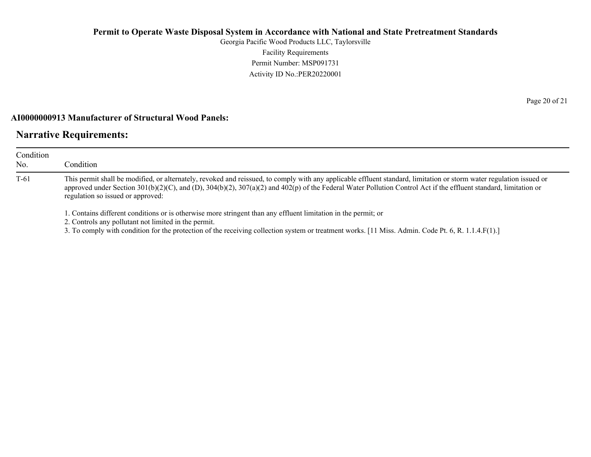Georgia Pacific Wood Products LLC, Taylorsville Facility Requirements Permit Number: MSP091731 Activity ID No.:PER20220001

### **AI0000000913 Manufacturer of Structural Wood Panels:**

# **Narrative Requirements:**

| Condition<br>No. | Condition                                                                                                                                                                                                                                                                                                                                                                                                                                                    |
|------------------|--------------------------------------------------------------------------------------------------------------------------------------------------------------------------------------------------------------------------------------------------------------------------------------------------------------------------------------------------------------------------------------------------------------------------------------------------------------|
| $T-61$           | This permit shall be modified, or alternately, revoked and reissued, to comply with any applicable effluent standard, limitation or storm water regulation issued or<br>approved under Section 301(b)(2)(C), and (D), 304(b)(2), 307(a)(2) and 402(p) of the Federal Water Pollution Control Act if the effluent standard, limitation or<br>regulation so issued or approved:                                                                                |
|                  | 1. Contains different conditions or is otherwise more stringent than any effluent limitation in the permit; or<br>2. Controls any pollutant not limited in the permit.<br>$2.$ The counterpartial condition funding magnetic contains and containing international conditions of $\mathbf{A}$ dual $\mathbf{A}$ $\mathbf{A}$ $\mathbf{A}$ $\mathbf{A}$ $\mathbf{B}$ $\mathbf{A}$ $\mathbf{A}$ $\mathbf{B}$ $\mathbf{A}$ $\mathbf{A}$ $\mathbf{B}$ $\mathbf{$ |

3. To comply with condition for the protection of the receiving collection system or treatment works. [11 Miss. Admin. Code Pt. 6, R. 1.1.4.F(1).]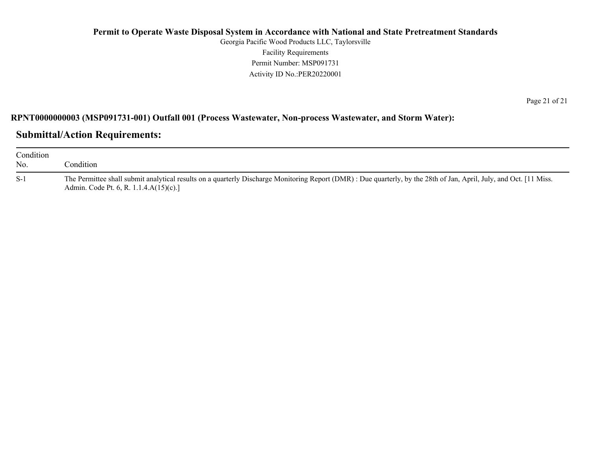Georgia Pacific Wood Products LLC, Taylorsville Facility Requirements Permit Number: MSP091731 Activity ID No.:PER20220001

Page 21 of 21

# **RPNT0000000003 (MSP091731-001) Outfall 001 (Process Wastewater, Non-process Wastewater, and Storm Water):**

# **Submittal/Action Requirements:**

| Condition<br>No. | Condition                                                                                                                                                                                                    |
|------------------|--------------------------------------------------------------------------------------------------------------------------------------------------------------------------------------------------------------|
| $S-1$            | The Permittee shall submit analytical results on a quarterly Discharge Monitoring Report (DMR): Due quarterly, by the 28th of Jan, April, July, and Oct. [11 Miss.<br>Admin. Code Pt. 6, R. 1.1.4.A(15)(c).] |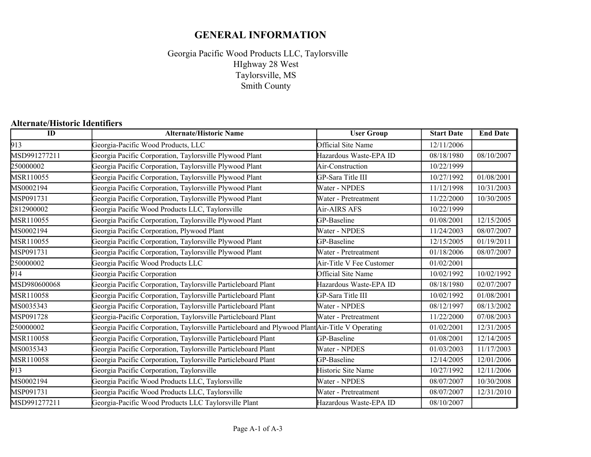# **GENERAL INFORMATION**

Georgia Pacific Wood Products LLC, Taylorsville Taylorsville, MS Smith County HIghway 28 West

## **Alternate/Historic Identifiers**

| $\overline{ID}$ | <b>Alternate/Historic Name</b>                                                                  | <b>User Group</b>        | <b>Start Date</b> | <b>End Date</b> |
|-----------------|-------------------------------------------------------------------------------------------------|--------------------------|-------------------|-----------------|
| 913             | Georgia-Pacific Wood Products, LLC                                                              | Official Site Name       | 12/11/2006        |                 |
| MSD991277211    | Georgia Pacific Corporation, Taylorsville Plywood Plant                                         | Hazardous Waste-EPA ID   | 08/18/1980        | 08/10/2007      |
| 250000002       | Georgia Pacific Corporation, Taylorsville Plywood Plant                                         | Air-Construction         | 10/22/1999        |                 |
| MSR110055       | Georgia Pacific Corporation, Taylorsville Plywood Plant                                         | GP-Sara Title III        | 10/27/1992        | 01/08/2001      |
| MS0002194       | Georgia Pacific Corporation, Taylorsville Plywood Plant                                         | Water - NPDES            | 11/12/1998        | 10/31/2003      |
| MSP091731       | Georgia Pacific Corporation, Taylorsville Plywood Plant                                         | Water - Pretreatment     | 11/22/2000        | 10/30/2005      |
| 2812900002      | Georgia Pacific Wood Products LLC, Taylorsville                                                 | Air-AIRS AFS             | 10/22/1999        |                 |
| MSR110055       | Georgia Pacific Corporation, Taylorsville Plywood Plant                                         | GP-Baseline              | 01/08/2001        | 12/15/2005      |
| MS0002194       | Georgia Pacific Corporation, Plywood Plant                                                      | Water - NPDES            | 11/24/2003        | 08/07/2007      |
| MSR110055       | Georgia Pacific Corporation, Taylorsville Plywood Plant                                         | GP-Baseline              | 12/15/2005        | 01/19/2011      |
| MSP091731       | Georgia Pacific Corporation, Taylorsville Plywood Plant                                         | Water - Pretreatment     | 01/18/2006        | 08/07/2007      |
| 250000002       | Georgia Pacific Wood Products LLC                                                               | Air-Title V Fee Customer | 01/02/2001        |                 |
| 914             | Georgia Pacific Corporation                                                                     | Official Site Name       | 10/02/1992        | 10/02/1992      |
| MSD980600068    | Georgia Pacific Corporation, Taylorsville Particleboard Plant                                   | Hazardous Waste-EPA ID   | 08/18/1980        | 02/07/2007      |
| MSR110058       | Georgia Pacific Corporation, Taylorsville Particleboard Plant                                   | GP-Sara Title III        | 10/02/1992        | 01/08/2001      |
| MS0035343       | Georgia Pacific Corporation, Taylorsville Particleboard Plant                                   | Water - NPDES            | 08/12/1997        | 08/13/2002      |
| MSP091728       | Georgia-Pacific Corporation, Taylorsville Particleboard Plant                                   | Water - Pretreatment     | 11/22/2000        | 07/08/2003      |
| 250000002       | Georgia Pacific Corporation, Taylorsville Particleboard and Plywood Plant Air-Title V Operating |                          | 01/02/2001        | 12/31/2005      |
| MSR110058       | Georgia Pacific Corporation, Taylorsville Particleboard Plant                                   | GP-Baseline              | 01/08/2001        | 12/14/2005      |
| MS0035343       | Georgia Pacific Corporation, Taylorsville Particleboard Plant                                   | Water - NPDES            | 01/03/2003        | 11/17/2003      |
| MSR110058       | Georgia Pacific Corporation, Taylorsville Particleboard Plant                                   | GP-Baseline              | 12/14/2005        | 12/01/2006      |
| 913             | Georgia Pacific Corporation, Taylorsville                                                       | Historic Site Name       | 10/27/1992        | 12/11/2006      |
| MS0002194       | Georgia Pacific Wood Products LLC, Taylorsville                                                 | Water - NPDES            | 08/07/2007        | 10/30/2008      |
| MSP091731       | Georgia Pacific Wood Products LLC, Taylorsville                                                 | Water - Pretreatment     | 08/07/2007        | 12/31/2010      |
| MSD991277211    | Georgia-Pacific Wood Products LLC Taylorsville Plant                                            | Hazardous Waste-EPA ID   | 08/10/2007        |                 |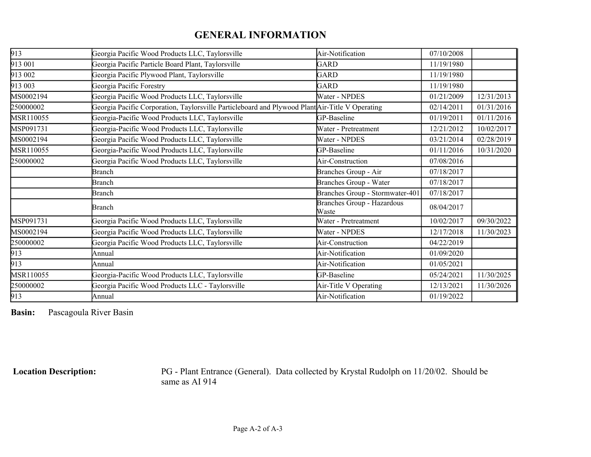# **GENERAL INFORMATION**

| 913       | Georgia Pacific Wood Products LLC, Taylorsville                                                 | Air-Notification                    | 07/10/2008 |            |
|-----------|-------------------------------------------------------------------------------------------------|-------------------------------------|------------|------------|
| 913 001   | Georgia Pacific Particle Board Plant, Taylorsville                                              | GARD                                | 11/19/1980 |            |
| 913 002   | Georgia Pacific Plywood Plant, Taylorsville                                                     | GARD                                | 11/19/1980 |            |
| 913 003   | Georgia Pacific Forestry                                                                        | <b>GARD</b>                         | 11/19/1980 |            |
| MS0002194 | Georgia Pacific Wood Products LLC, Taylorsville                                                 | Water - NPDES                       | 01/21/2009 | 12/31/2013 |
| 250000002 | Georgia Pacific Corporation, Taylorsville Particleboard and Plywood Plant Air-Title V Operating |                                     | 02/14/2011 | 01/31/2016 |
| MSR110055 | Georgia-Pacific Wood Products LLC, Taylorsville                                                 | GP-Baseline                         | 01/19/2011 | 01/11/2016 |
| MSP091731 | Georgia-Pacific Wood Products LLC, Taylorsville                                                 | Water - Pretreatment                | 12/21/2012 | 10/02/2017 |
| MS0002194 | Georgia Pacific Wood Products LLC, Taylorsville                                                 | Water - NPDES                       | 03/21/2014 | 02/28/2019 |
| MSR110055 | Georgia-Pacific Wood Products LLC, Taylorsville                                                 | GP-Baseline                         | 01/11/2016 | 10/31/2020 |
| 250000002 | Georgia Pacific Wood Products LLC, Taylorsville                                                 | Air-Construction                    | 07/08/2016 |            |
|           | <b>Branch</b>                                                                                   | Branches Group - Air                | 07/18/2017 |            |
|           | <b>Branch</b>                                                                                   | <b>Branches Group - Water</b>       | 07/18/2017 |            |
|           | Branch                                                                                          | Branches Group - Stormwater-401     | 07/18/2017 |            |
|           | <b>Branch</b>                                                                                   | Branches Group - Hazardous<br>Waste | 08/04/2017 |            |
| MSP091731 | Georgia Pacific Wood Products LLC, Taylorsville                                                 | Water - Pretreatment                | 10/02/2017 | 09/30/2022 |
| MS0002194 | Georgia Pacific Wood Products LLC, Taylorsville                                                 | Water - NPDES                       | 12/17/2018 | 11/30/2023 |
| 250000002 | Georgia Pacific Wood Products LLC, Taylorsville                                                 | Air-Construction                    | 04/22/2019 |            |
| 913       | Annual                                                                                          | Air-Notification                    | 01/09/2020 |            |
| 913       | Annual                                                                                          | Air-Notification                    | 01/05/2021 |            |
| MSR110055 | Georgia-Pacific Wood Products LLC, Taylorsville                                                 | GP-Baseline                         | 05/24/2021 | 11/30/2025 |
| 250000002 | Georgia Pacific Wood Products LLC - Taylorsville                                                | Air-Title V Operating               | 12/13/2021 | 11/30/2026 |
| 913       | Annual                                                                                          | Air-Notification                    | 01/19/2022 |            |

**Basin:** Pascagoula River Basin

 **Location Description:** PG - Plant Entrance (General). Data collected by Krystal Rudolph on 11/20/02. Should be same as AI 914